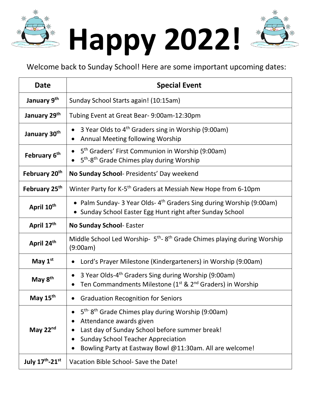

Welcome back to Sunday School! Here are some important upcoming dates:

| <b>Date</b>                 | <b>Special Event</b>                                                                                                                                                                                                                                             |
|-----------------------------|------------------------------------------------------------------------------------------------------------------------------------------------------------------------------------------------------------------------------------------------------------------|
| January 9 <sup>th</sup>     | Sunday School Starts again! (10:15am)                                                                                                                                                                                                                            |
| January 29th                | Tubing Event at Great Bear-9:00am-12:30pm                                                                                                                                                                                                                        |
| January 30 <sup>th</sup>    | 3 Year Olds to 4 <sup>th</sup> Graders sing in Worship (9:00am)<br>$\bullet$<br>Annual Meeting following Worship                                                                                                                                                 |
| February 6 <sup>th</sup>    | 5 <sup>th</sup> Graders' First Communion in Worship (9:00am)<br>5 <sup>th</sup> -8 <sup>th</sup> Grade Chimes play during Worship                                                                                                                                |
| February 20 <sup>th</sup>   | No Sunday School- Presidents' Day weekend                                                                                                                                                                                                                        |
| February 25th               | Winter Party for K-5 <sup>th</sup> Graders at Messiah New Hope from 6-10pm                                                                                                                                                                                       |
| April 10th                  | • Palm Sunday- 3 Year Olds-4 <sup>th</sup> Graders Sing during Worship (9:00am)<br>• Sunday School Easter Egg Hunt right after Sunday School                                                                                                                     |
| April 17th                  | No Sunday School- Easter                                                                                                                                                                                                                                         |
| April 24 <sup>th</sup>      | Middle School Led Worship- 5 <sup>th</sup> -8 <sup>th</sup> Grade Chimes playing during Worship<br>(9:00am)                                                                                                                                                      |
| May $1st$                   | Lord's Prayer Milestone (Kindergarteners) in Worship (9:00am)                                                                                                                                                                                                    |
| May 8 <sup>th</sup>         | 3 Year Olds-4 <sup>th</sup> Graders Sing during Worship (9:00am)<br>Ten Commandments Milestone (1 <sup>st</sup> & 2 <sup>nd</sup> Graders) in Worship                                                                                                            |
| May 15 <sup>th</sup>        | <b>Graduation Recognition for Seniors</b>                                                                                                                                                                                                                        |
| May 22nd                    | 5 <sup>th-</sup> 8 <sup>th</sup> Grade Chimes play during Worship (9:00am)<br>Attendance awards given<br>Last day of Sunday School before summer break!<br><b>Sunday School Teacher Appreciation</b><br>Bowling Party at Eastway Bowl @11:30am. All are welcome! |
| July $17^{\text{th}}$ -21st | Vacation Bible School- Save the Date!                                                                                                                                                                                                                            |